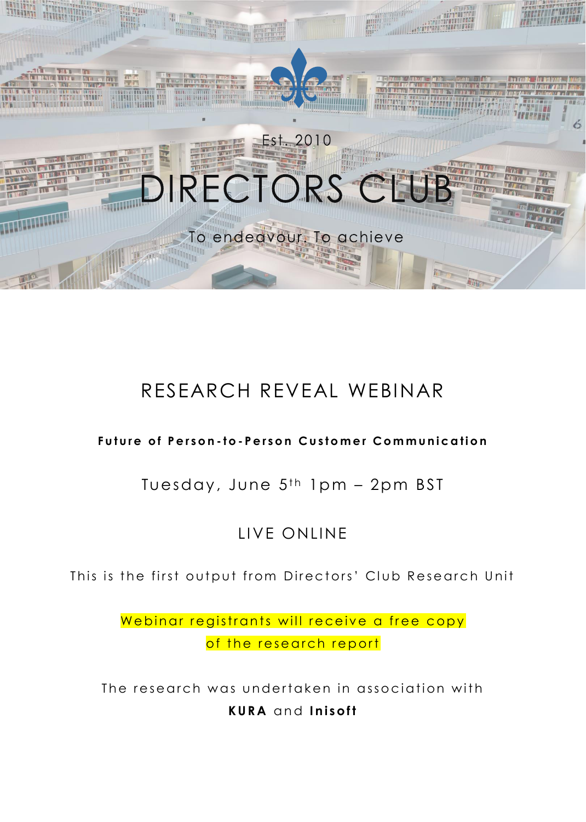

# RESEARCH REVEAL WEBINAR

### **Future of Person-to-Person Customer Communication**

Tuesday, June  $5<sup>th</sup> 1pm - 2pm BST$ 

## LI VE ONLINE

This is the first output from Directors' Club Research Unit

Webinar registrants will receive a free copy of the research report

The research was undertaken in association with **KURA** and **Inisoft**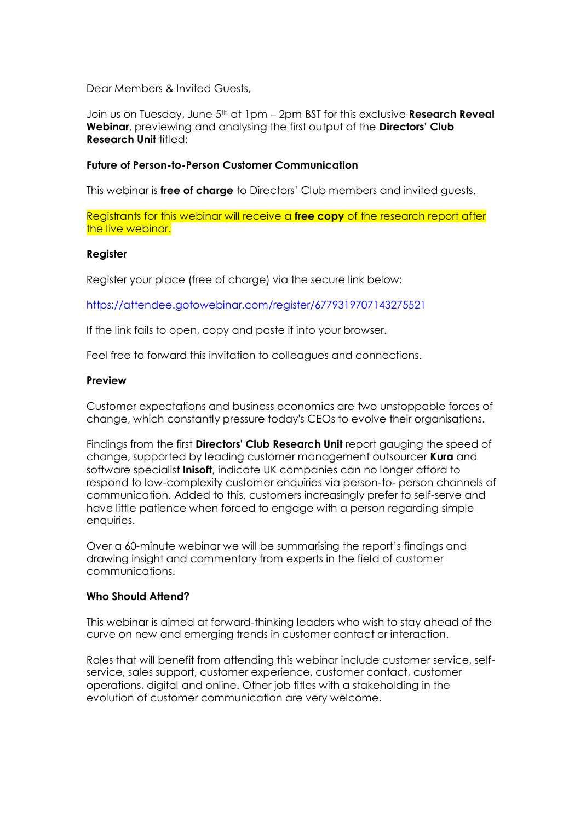Dear Members & Invited Guests,

Join us on Tuesday, June 5th at 1pm – 2pm BST for this exclusive **Research Reveal Webinar**, previewing and analysing the first output of the **Directors' Club Research Unit titled:** 

#### **Future of Person-to-Person Customer Communication**

This webinar is **free of charge** to Directors' Club members and invited guests.

Registrants for this webinar will receive a **free copy** of the research report after the live webinar.

#### **Register**

Register your place (free of charge) via the secure link below:

<https://attendee.gotowebinar.com/register/6779319707143275521>

If the link fails to open, copy and paste it into your browser.

Feel free to forward this invitation to colleagues and connections.

#### **Preview**

Customer expectations and business economics are two unstoppable forces of change, which constantly pressure today's CEOs to evolve their organisations.

Findings from the first **Directors' Club Research Unit** report gauging the speed of change, supported by leading customer management outsourcer **Kura** and software specialist **Inisoft**, indicate UK companies can no longer afford to respond to low-complexity customer enquiries via person-to- person channels of communication. Added to this, customers increasingly prefer to self-serve and have little patience when forced to engage with a person regarding simple enquiries.

Over a 60-minute webinar we will be summarising the report's findings and drawing insight and commentary from experts in the field of customer communications.

#### **Who Should Attend?**

This webinar is aimed at forward-thinking leaders who wish to stay ahead of the curve on new and emerging trends in customer contact or interaction.

Roles that will benefit from attending this webinar include customer service, selfservice, sales support, customer experience, customer contact, customer operations, digital and online. Other job titles with a stakeholding in the evolution of customer communication are very welcome.